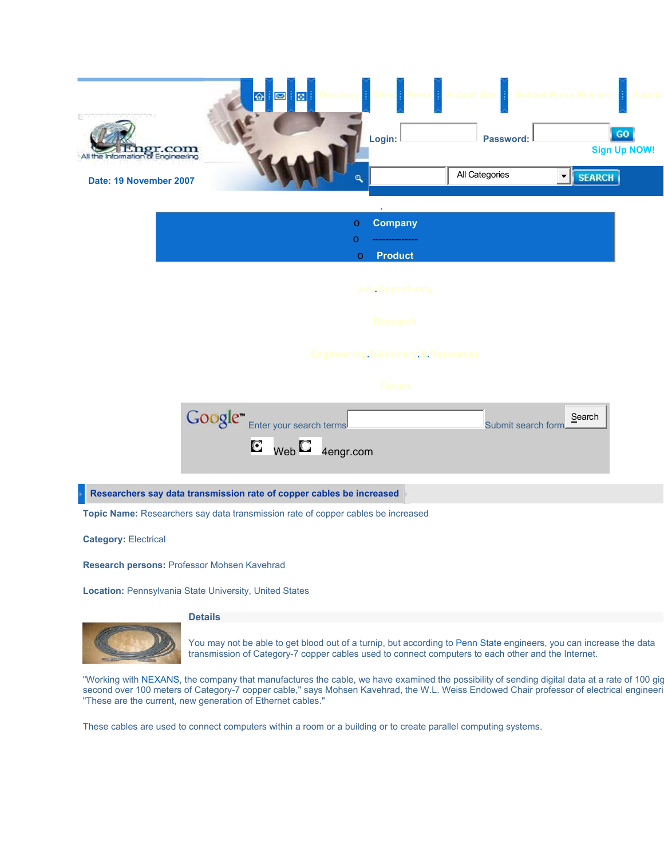

|        | <b>O</b> Company |
|--------|------------------|
|        | ---------------  |
| $\cap$ | <b>Product</b>   |

**Job.Opportunity**

**Engineering.Dictionary.&.Resources**



**Researchers say data transmission rate of copper cables be increased** 

**Topic Name:** Researchers say data transmission rate of copper cables be increased

**Category:** Electrical

**Research persons:** Professor Mohsen Kavehrad

**Location:** Pennsylvania State University, United States

### **Details**



You may not be able to get blood out of a turnip, but according to Penn State engineers, you can increase the data transmission of Category-7 copper cables used to connect computers to each other and the Internet.

"Working with NEXANS, the company that manufactures the cable, we have examined the possibility of sending digital data at a rate of 100 gig second over 100 meters of Category-7 copper cable," says Mohsen Kavehrad, the W.L. Weiss Endowed Chair professor of electrical engineeri "These are the current, new generation of Ethernet cables."

These cables are used to connect computers within a room or a building or to create parallel computing systems.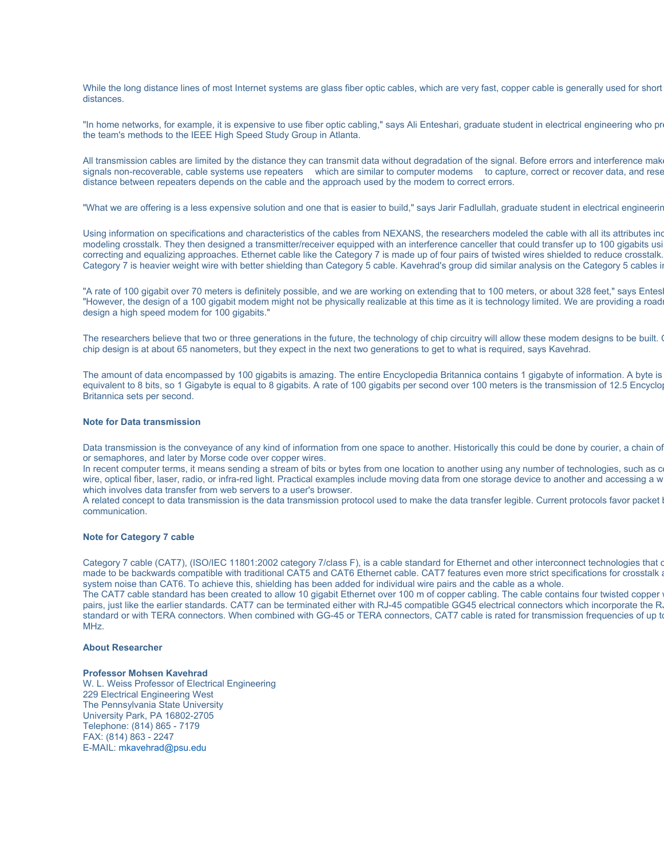While the long distance lines of most Internet systems are glass fiber optic cables, which are very fast, copper cable is generally used for short distances.

"In home networks, for example, it is expensive to use fiber optic cabling," says Ali Enteshari, graduate student in electrical engineering who pr the team's methods to the IEEE High Speed Study Group in Atlanta.

All transmission cables are limited by the distance they can transmit data without degradation of the signal. Before errors and interference make signals non-recoverable, cable systems use repeaters which are similar to computer modems to capture, correct or recover data, and rese distance between repeaters depends on the cable and the approach used by the modem to correct errors.

"What we are offering is a less expensive solution and one that is easier to build," says Jarir Fadlullah, graduate student in electrical engineerin

Using information on specifications and characteristics of the cables from NEXANS, the researchers modeled the cable with all its attributes inc modeling crosstalk. They then designed a transmitter/receiver equipped with an interference canceller that could transfer up to 100 gigabits usi correcting and equalizing approaches. Ethernet cable like the Category 7 is made up of four pairs of twisted wires shielded to reduce crosstalk. Category 7 is heavier weight wire with better shielding than Category 5 cable. Kavehrad's group did similar analysis on the Category 5 cables in

"A rate of 100 gigabit over 70 meters is definitely possible, and we are working on extending that to 100 meters, or about 328 feet," says Entes "However, the design of a 100 gigabit modem might not be physically realizable at this time as it is technology limited. We are providing a roadm design a high speed modem for 100 gigabits."

The researchers believe that two or three generations in the future, the technology of chip circuitry will allow these modem designs to be built. chip design is at about 65 nanometers, but they expect in the next two generations to get to what is required, says Kavehrad.

The amount of data encompassed by 100 gigabits is amazing. The entire Encyclopedia Britannica contains 1 gigabyte of information. A byte is equivalent to 8 bits, so 1 Gigabyte is equal to 8 gigabits. A rate of 100 gigabits per second over 100 meters is the transmission of 12.5 Encyclop Britannica sets per second.

#### **Note for Data transmission**

Data transmission is the conveyance of any kind of information from one space to another. Historically this could be done by courier, a chain of or semaphores, and later by Morse code over copper wires.

In recent computer terms, it means sending a stream of bits or bytes from one location to another using any number of technologies, such as c wire, optical fiber, laser, radio, or infra-red light. Practical examples include moving data from one storage device to another and accessing a w which involves data transfer from web servers to a user's browser.

A related concept to data transmission is the data transmission protocol used to make the data transfer legible. Current protocols favor packet b communication.

# **Note for Category 7 cable**

Category 7 cable (CAT7), (ISO/IEC 11801:2002 category 7/class F), is a cable standard for Ethernet and other interconnect technologies that c made to be backwards compatible with traditional CAT5 and CAT6 Ethernet cable. CAT7 features even more strict specifications for crosstalk a system noise than CAT6. To achieve this, shielding has been added for individual wire pairs and the cable as a whole.

The CAT7 cable standard has been created to allow 10 gigabit Ethernet over 100 m of copper cabling. The cable contains four twisted copper pairs, just like the earlier standards. CAT7 can be terminated either with RJ-45 compatible GG45 electrical connectors which incorporate the R standard or with TERA connectors. When combined with GG-45 or TERA connectors, CAT7 cable is rated for transmission frequencies of up to MHz.

#### **About Researcher**

# **Professor Mohsen Kavehrad**

W. L. Weiss Professor of Electrical Engineering 229 Electrical Engineering West The Pennsylvania State University University Park, PA 16802-2705 Telephone: (814) 865 - 7179 FAX: (814) 863 - 2247 E-MAIL: mkavehrad@psu.edu